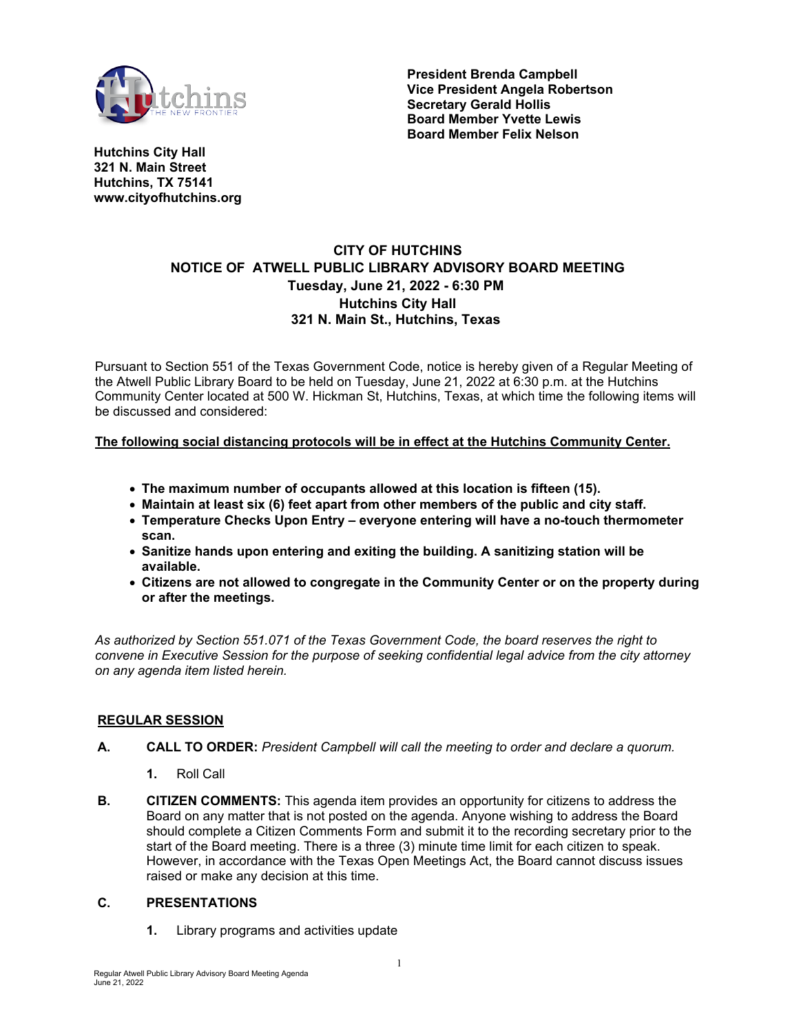

**President Brenda Campbell Vice President Angela Robertson Secretary Gerald Hollis Board Member Yvette Lewis Board Member Felix Nelson**

**Hutchins City Hall 321 N. Main Street Hutchins, TX 75141 www.cityofhutchins.org**

# **CITY OF HUTCHINS NOTICE OF ATWELL PUBLIC LIBRARY ADVISORY BOARD MEETING Tuesday, June 21, 2022 - 6:30 PM Hutchins City Hall 321 N. Main St., Hutchins, Texas**

Pursuant to Section 551 of the Texas Government Code, notice is hereby given of a Regular Meeting of the Atwell Public Library Board to be held on Tuesday, June 21, 2022 at 6:30 p.m. at the Hutchins Community Center located at 500 W. Hickman St, Hutchins, Texas, at which time the following items will be discussed and considered:

# **The following social distancing protocols will be in effect at the Hutchins Community Center.**

- **The maximum number of occupants allowed at this location is fifteen (15).**
- **Maintain at least six (6) feet apart from other members of the public and city staff.**
- **Temperature Checks Upon Entry everyone entering will have a no-touch thermometer scan.**
- **Sanitize hands upon entering and exiting the building. A sanitizing station will be available.**
- **Citizens are not allowed to congregate in the Community Center or on the property during or after the meetings.**

*As authorized by Section 551.071 of the Texas Government Code, the board reserves the right to convene in Executive Session for the purpose of seeking confidential legal advice from the city attorney on any agenda item listed herein.*

# **REGULAR SESSION**

- **A. CALL TO ORDER:** *President Campbell will call the meeting to order and declare a quorum.*
	- **1.** Roll Call
- **B. CITIZEN COMMENTS:** This agenda item provides an opportunity for citizens to address the Board on any matter that is not posted on the agenda. Anyone wishing to address the Board should complete a Citizen Comments Form and submit it to the recording secretary prior to the start of the Board meeting. There is a three (3) minute time limit for each citizen to speak. However, in accordance with the Texas Open Meetings Act, the Board cannot discuss issues raised or make any decision at this time.

# **C. PRESENTATIONS**

**1.** Library programs and activities update